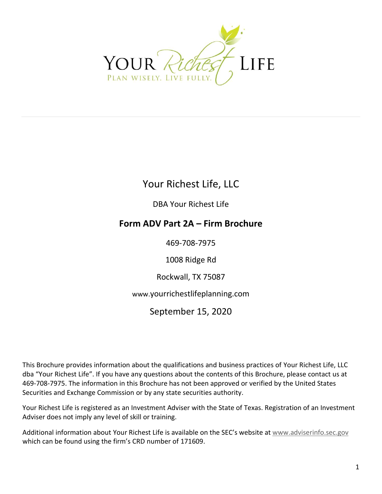<span id="page-0-0"></span>

Your Richest Life, LLC

DBA Your Richest Life

### **Form ADV Part 2A – Firm Brochure**

469-708-7975

1008 Ridge Rd

Rockwall, TX 75087

[www.](http://www.yourrichestlifeplanning.com/)[yourrichestlifeplanning.com](http://www.yourrichestlifeplanning.com/)

September 15, 2020

This Brochure provides information about the qualifications and business practices of Your Richest Life, LLC dba "Your Richest Life". If you have any questions about the contents of this Brochure, please contact us at 469-708-7975. The information in this Brochure has not been approved or verified by the United States Securities and Exchange Commission or by any state securities authority.

Your Richest Life is registered as an Investment Adviser with the State of Texas. Registration of an Investment Adviser does not imply any level of skill or training.

Additional information about Your Richest Life is available on the SEC's website a[t www.adviserinfo.sec.gov](http://www.adviserinfo.sec.gov/) which can be found using the firm's CRD number of 171609.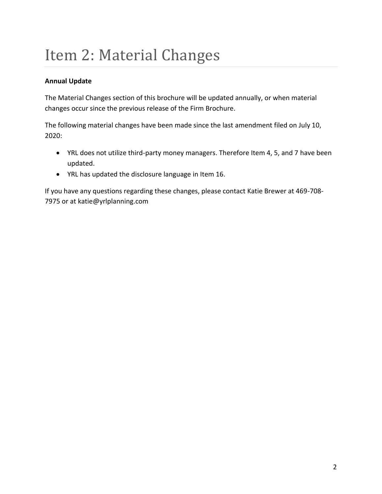## <span id="page-1-0"></span>Item 2: Material Changes

### **Annual Update**

The Material Changes section of this brochure will be updated annually, or when material changes occur since the previous release of the Firm Brochure.

The following material changes have been made since the last amendment filed on July 10, 2020:

- YRL does not utilize third-party money managers. Therefore Item 4, 5, and 7 have been updated.
- YRL has updated the disclosure language in Item 16.

If you have any questions regarding these changes, please contact Katie Brewer at 469-708- 7975 or at [katie@yrlplanning.com](mailto:katie@yrlplanning.com)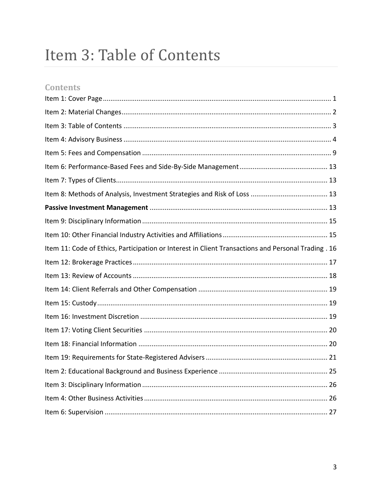## <span id="page-2-0"></span>Item 3: Table of Contents

### **Contents**

| Item 11: Code of Ethics, Participation or Interest in Client Transactions and Personal Trading . 16 |  |
|-----------------------------------------------------------------------------------------------------|--|
|                                                                                                     |  |
|                                                                                                     |  |
|                                                                                                     |  |
|                                                                                                     |  |
|                                                                                                     |  |
|                                                                                                     |  |
|                                                                                                     |  |
|                                                                                                     |  |
|                                                                                                     |  |
|                                                                                                     |  |
|                                                                                                     |  |
|                                                                                                     |  |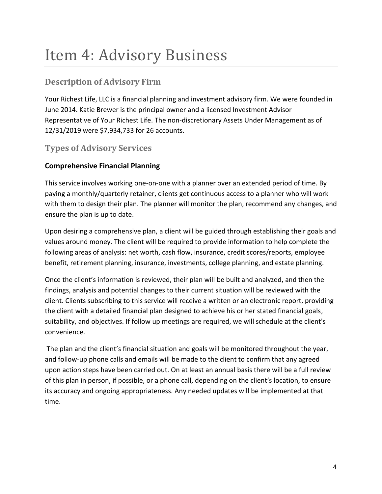## <span id="page-3-0"></span>Item 4: Advisory Business

### **Description of Advisory Firm**

Your Richest Life, LLC is a financial planning and investment advisory firm. We were founded in June 2014. Katie Brewer is the principal owner and a licensed Investment Advisor Representative of Your Richest Life. The non-discretionary Assets Under Management as of 12/31/2019 were \$7,934,733 for 26 accounts.

### **Types of Advisory Services**

### **Comprehensive Financial Planning**

This service involves working one-on-one with a planner over an extended period of time. By paying a monthly/quarterly retainer, clients get continuous access to a planner who will work with them to design their plan. The planner will monitor the plan, recommend any changes, and ensure the plan is up to date.

Upon desiring a comprehensive plan, a client will be guided through establishing their goals and values around money. The client will be required to provide information to help complete the following areas of analysis: net worth, cash flow, insurance, credit scores/reports, employee benefit, retirement planning, insurance, investments, college planning, and estate planning.

Once the client's information is reviewed, their plan will be built and analyzed, and then the findings, analysis and potential changes to their current situation will be reviewed with the client. Clients subscribing to this service will receive a written or an electronic report, providing the client with a detailed financial plan designed to achieve his or her stated financial goals, suitability, and objectives. If follow up meetings are required, we will schedule at the client's convenience.

The plan and the client's financial situation and goals will be monitored throughout the year, and follow-up phone calls and emails will be made to the client to confirm that any agreed upon action steps have been carried out. On at least an annual basis there will be a full review of this plan in person, if possible, or a phone call, depending on the client's location, to ensure its accuracy and ongoing appropriateness. Any needed updates will be implemented at that time.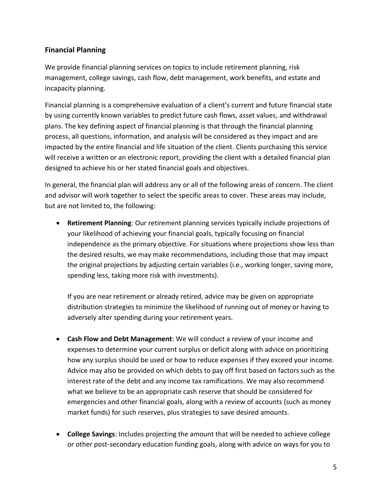### **Financial Planning**

We provide financial planning services on topics to include retirement planning, risk management, college savings, cash flow, debt management, work benefits, and estate and incapacity planning.

Financial planning is a comprehensive evaluation of a client's current and future financial state by using currently known variables to predict future cash flows, asset values, and withdrawal plans. The key defining aspect of financial planning is that through the financial planning process, all questions, information, and analysis will be considered as they impact and are impacted by the entire financial and life situation of the client. Clients purchasing this service will receive a written or an electronic report, providing the client with a detailed financial plan designed to achieve his or her stated financial goals and objectives.

In general, the financial plan will address any or all of the following areas of concern. The client and advisor will work together to select the specific areas to cover. These areas may include, but are not limited to, the following:

• **Retirement Planning**: Our retirement planning services typically include projections of your likelihood of achieving your financial goals, typically focusing on financial independence as the primary objective. For situations where projections show less than the desired results, we may make recommendations, including those that may impact the original projections by adjusting certain variables (i.e., working longer, saving more, spending less, taking more risk with investments).

If you are near retirement or already retired, advice may be given on appropriate distribution strategies to minimize the likelihood of running out of money or having to adversely alter spending during your retirement years.

- **Cash Flow and Debt Management**: We will conduct a review of your income and expenses to determine your current surplus or deficit along with advice on prioritizing how any surplus should be used or how to reduce expenses if they exceed your income. Advice may also be provided on which debts to pay off first based on factors such as the interest rate of the debt and any income tax ramifications. We may also recommend what we believe to be an appropriate cash reserve that should be considered for emergencies and other financial goals, along with a review of accounts (such as money market funds) for such reserves, plus strategies to save desired amounts.
- **College Savings**: Includes projecting the amount that will be needed to achieve college or other post-secondary education funding goals, along with advice on ways for you to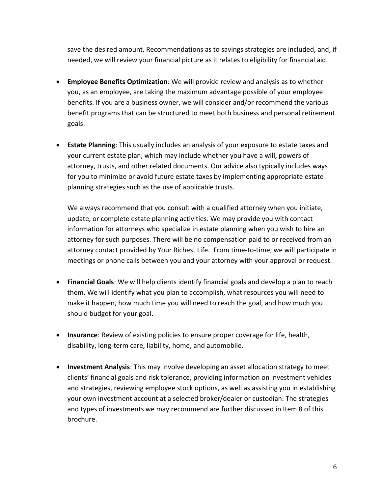save the desired amount. Recommendations as to savings strategies are included, and, if needed, we will review your financial picture as it relates to eligibility for financial aid.

- **Employee Benefits Optimization**: We will provide review and analysis as to whether you, as an employee, are taking the maximum advantage possible of your employee benefits. If you are a business owner, we will consider and/or recommend the various benefit programs that can be structured to meet both business and personal retirement goals.
- **Estate Planning**: This usually includes an analysis of your exposure to estate taxes and your current estate plan, which may include whether you have a will, powers of attorney, trusts, and other related documents. Our advice also typically includes ways for you to minimize or avoid future estate taxes by implementing appropriate estate planning strategies such as the use of applicable trusts.

We always recommend that you consult with a qualified attorney when you initiate, update, or complete estate planning activities. We may provide you with contact information for attorneys who specialize in estate planning when you wish to hire an attorney for such purposes. There will be no compensation paid to or received from an attorney contact provided by Your Richest Life. From time-to-time, we will participate in meetings or phone calls between you and your attorney with your approval or request.

- **Financial Goals**: We will help clients identify financial goals and develop a plan to reach them. We will identify what you plan to accomplish, what resources you will need to make it happen, how much time you will need to reach the goal, and how much you should budget for your goal.
- **Insurance**: Review of existing policies to ensure proper coverage for life, health, disability, long-term care, liability, home, and automobile.
- **Investment Analysis**: This may involve developing an asset allocation strategy to meet clients' financial goals and risk tolerance, providing information on investment vehicles and strategies, reviewing employee stock options, as well as assisting you in establishing your own investment account at a selected broker/dealer or custodian. The strategies and types of investments we may recommend are further discussed in Item 8 of this brochure.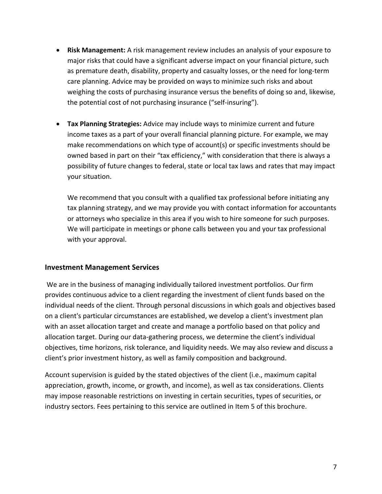- **Risk Management:** A risk management review includes an analysis of your exposure to major risks that could have a significant adverse impact on your financial picture, such as premature death, disability, property and casualty losses, or the need for long‐term care planning. Advice may be provided on ways to minimize such risks and about weighing the costs of purchasing insurance versus the benefits of doing so and, likewise, the potential cost of not purchasing insurance ("self‐insuring").
- **Tax Planning Strategies:** Advice may include ways to minimize current and future income taxes as a part of your overall financial planning picture. For example, we may make recommendations on which type of account(s) or specific investments should be owned based in part on their "tax efficiency," with consideration that there is always a possibility of future changes to federal, state or local tax laws and rates that may impact your situation.

We recommend that you consult with a qualified tax professional before initiating any tax planning strategy, and we may provide you with contact information for accountants or attorneys who specialize in this area if you wish to hire someone for such purposes. We will participate in meetings or phone calls between you and your tax professional with your approval.

#### **Investment Management Services**

We are in the business of managing individually tailored investment portfolios. Our firm provides continuous advice to a client regarding the investment of client funds based on the individual needs of the client. Through personal discussions in which goals and objectives based on a client's particular circumstances are established, we develop a client's investment plan with an asset allocation target and create and manage a portfolio based on that policy and allocation target. During our data-gathering process, we determine the client's individual objectives, time horizons, risk tolerance, and liquidity needs. We may also review and discuss a client's prior investment history, as well as family composition and background.

Account supervision is guided by the stated objectives of the client (i.e., maximum capital appreciation, growth, income, or growth, and income), as well as tax considerations. Clients may impose reasonable restrictions on investing in certain securities, types of securities, or industry sectors. Fees pertaining to this service are outlined in Item 5 of this brochure.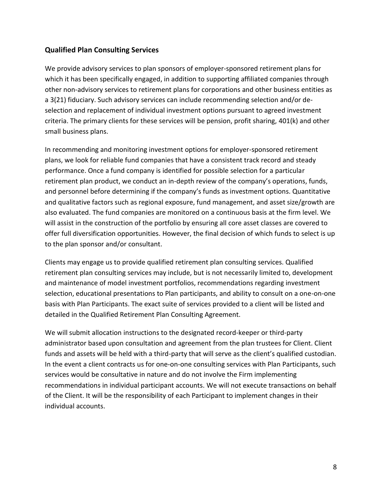#### **Qualified Plan Consulting Services**

We provide advisory services to plan sponsors of employer-sponsored retirement plans for which it has been specifically engaged, in addition to supporting affiliated companies through other non-advisory services to retirement plans for corporations and other business entities as a 3(21) fiduciary. Such advisory services can include recommending selection and/or deselection and replacement of individual investment options pursuant to agreed investment criteria. The primary clients for these services will be pension, profit sharing, 401(k) and other small business plans.

In recommending and monitoring investment options for employer-sponsored retirement plans, we look for reliable fund companies that have a consistent track record and steady performance. Once a fund company is identified for possible selection for a particular retirement plan product, we conduct an in-depth review of the company's operations, funds, and personnel before determining if the company's funds as investment options. Quantitative and qualitative factors such as regional exposure, fund management, and asset size/growth are also evaluated. The fund companies are monitored on a continuous basis at the firm level. We will assist in the construction of the portfolio by ensuring all core asset classes are covered to offer full diversification opportunities. However, the final decision of which funds to select is up to the plan sponsor and/or consultant.

Clients may engage us to provide qualified retirement plan consulting services. Qualified retirement plan consulting services may include, but is not necessarily limited to, development and maintenance of model investment portfolios, recommendations regarding investment selection, educational presentations to Plan participants, and ability to consult on a one-on-one basis with Plan Participants. The exact suite of services provided to a client will be listed and detailed in the Qualified Retirement Plan Consulting Agreement.

We will submit allocation instructions to the designated record-keeper or third-party administrator based upon consultation and agreement from the plan trustees for Client. Client funds and assets will be held with a third-party that will serve as the client's qualified custodian. In the event a client contracts us for one-on-one consulting services with Plan Participants, such services would be consultative in nature and do not involve the Firm implementing recommendations in individual participant accounts. We will not execute transactions on behalf of the Client. It will be the responsibility of each Participant to implement changes in their individual accounts.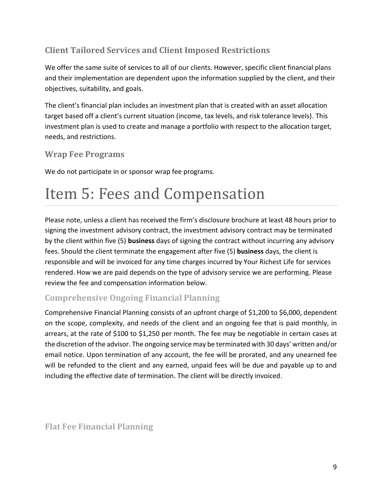### **Client Tailored Services and Client Imposed Restrictions**

We offer the same suite of services to all of our clients. However, specific client financial plans and their implementation are dependent upon the information supplied by the client, and their objectives, suitability, and goals.

The client's financial plan includes an investment plan that is created with an asset allocation target based off a client's current situation (income, tax levels, and risk tolerance levels). This investment plan is used to create and manage a portfolio with respect to the allocation target, needs, and restrictions.

### **Wrap Fee Programs**

We do not participate in or sponsor wrap fee programs.

# <span id="page-8-0"></span>Item 5: Fees and Compensation

Please note, unless a client has received the firm's disclosure brochure at least 48 hours prior to signing the investment advisory contract, the investment advisory contract may be terminated by the client within five (5) **business** days of signing the contract without incurring any advisory fees. Should the client terminate the engagement after five (5) **business** days, the client is responsible and will be invoiced for any time charges incurred by Your Richest Life for services rendered. How we are paid depends on the type of advisory service we are performing. Please review the fee and compensation information below.

### **Comprehensive Ongoing Financial Planning**

Comprehensive Financial Planning consists of an upfront charge of \$1,200 to \$6,000, dependent on the scope, complexity, and needs of the client and an ongoing fee that is paid monthly, in arrears, at the rate of \$100 to \$1,250 per month. The fee may be negotiable in certain cases at the discretion of the advisor. The ongoing service may be terminated with 30 days' written and/or email notice. Upon termination of any account, the fee will be prorated, and any unearned fee will be refunded to the client and any earned, unpaid fees will be due and payable up to and including the effective date of termination. The client will be directly invoiced.

**Flat Fee Financial Planning**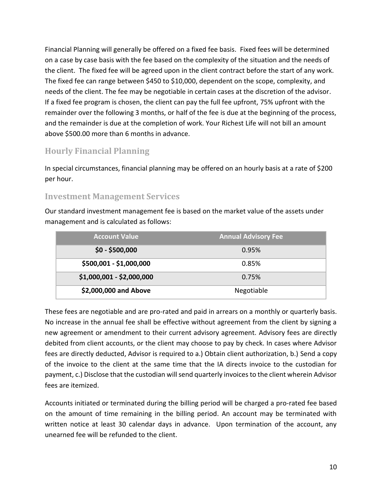Financial Planning will generally be offered on a fixed fee basis. Fixed fees will be determined on a case by case basis with the fee based on the complexity of the situation and the needs of the client. The fixed fee will be agreed upon in the client contract before the start of any work. The fixed fee can range between \$450 to \$10,000, dependent on the scope, complexity, and needs of the client. The fee may be negotiable in certain cases at the discretion of the advisor. If a fixed fee program is chosen, the client can pay the full fee upfront, 75% upfront with the remainder over the following 3 months, or half of the fee is due at the beginning of the process, and the remainder is due at the completion of work. Your Richest Life will not bill an amount above \$500.00 more than 6 months in advance.

### **Hourly Financial Planning**

In special circumstances, financial planning may be offered on an hourly basis at a rate of \$200 per hour.

### **Investment Management Services**

Our standard investment management fee is based on the market value of the assets under management and is calculated as follows:

| <b>Account Value</b>      | <b>Annual Advisory Fee</b> |
|---------------------------|----------------------------|
| $$0 - $500,000$           | 0.95%                      |
| \$500,001 - \$1,000,000   | 0.85%                      |
| \$1,000,001 - \$2,000,000 | 0.75%                      |
| \$2,000,000 and Above     | Negotiable                 |

These fees are negotiable and are pro-rated and paid in arrears on a monthly or quarterly basis. No increase in the annual fee shall be effective without agreement from the client by signing a new agreement or amendment to their current advisory agreement. Advisory fees are directly debited from client accounts, or the client may choose to pay by check. In cases where Advisor fees are directly deducted, Advisor is required to a.) Obtain client authorization, b.) Send a copy of the invoice to the client at the same time that the IA directs invoice to the custodian for payment, c.) Disclose that the custodian will send quarterly invoices to the client wherein Advisor fees are itemized.

Accounts initiated or terminated during the billing period will be charged a pro-rated fee based on the amount of time remaining in the billing period. An account may be terminated with written notice at least 30 calendar days in advance. Upon termination of the account, any unearned fee will be refunded to the client.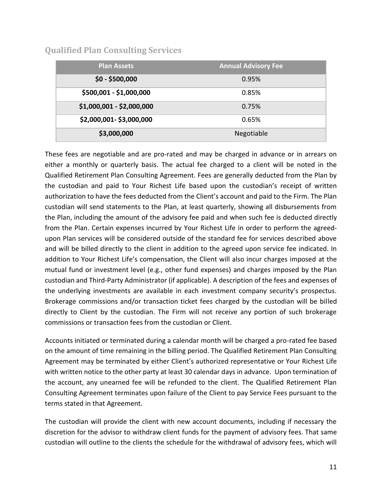### **Qualified Plan Consulting Services**

| <b>Plan Assets</b>        | <b>Annual Advisory Fee</b> |
|---------------------------|----------------------------|
| $$0 - $500,000$           | 0.95%                      |
| \$500,001 - \$1,000,000   | 0.85%                      |
| \$1,000,001 - \$2,000,000 | 0.75%                      |
| \$2,000,001-\$3,000,000   | 0.65%                      |
| \$3,000,000               | Negotiable                 |

These fees are negotiable and are pro-rated and may be charged in advance or in arrears on either a monthly or quarterly basis. The actual fee charged to a client will be noted in the Qualified Retirement Plan Consulting Agreement. Fees are generally deducted from the Plan by the custodian and paid to Your Richest Life based upon the custodian's receipt of written authorization to have the fees deducted from the Client's account and paid to the Firm. The Plan custodian will send statements to the Plan, at least quarterly, showing all disbursements from the Plan, including the amount of the advisory fee paid and when such fee is deducted directly from the Plan. Certain expenses incurred by Your Richest Life in order to perform the agreedupon Plan services will be considered outside of the standard fee for services described above and will be billed directly to the client in addition to the agreed upon service fee indicated. In addition to Your Richest Life's compensation, the Client will also incur charges imposed at the mutual fund or investment level (e.g., other fund expenses) and charges imposed by the Plan custodian and Third-Party Administrator (if applicable). A description of the fees and expenses of the underlying investments are available in each investment company security's prospectus. Brokerage commissions and/or transaction ticket fees charged by the custodian will be billed directly to Client by the custodian. The Firm will not receive any portion of such brokerage commissions or transaction fees from the custodian or Client.

Accounts initiated or terminated during a calendar month will be charged a pro-rated fee based on the amount of time remaining in the billing period. The Qualified Retirement Plan Consulting Agreement may be terminated by either Client's authorized representative or Your Richest Life with written notice to the other party at least 30 calendar days in advance. Upon termination of the account, any unearned fee will be refunded to the client. The Qualified Retirement Plan Consulting Agreement terminates upon failure of the Client to pay Service Fees pursuant to the terms stated in that Agreement.

The custodian will provide the client with new account documents, including if necessary the discretion for the advisor to withdraw client funds for the payment of advisory fees. That same custodian will outline to the clients the schedule for the withdrawal of advisory fees, which will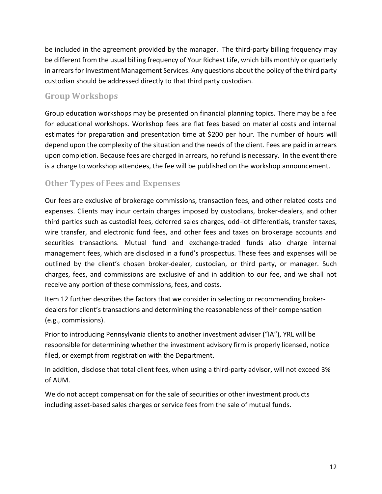be included in the agreement provided by the manager. The third-party billing frequency may be different from the usual billing frequency of Your Richest Life, which bills monthly or quarterly in arrears for Investment Management Services. Any questions about the policy of the third party custodian should be addressed directly to that third party custodian.

### **Group Workshops**

Group education workshops may be presented on financial planning topics. There may be a fee for educational workshops. Workshop fees are flat fees based on material costs and internal estimates for preparation and presentation time at \$200 per hour. The number of hours will depend upon the complexity of the situation and the needs of the client. Fees are paid in arrears upon completion. Because fees are charged in arrears, no refund is necessary. In the event there is a charge to workshop attendees, the fee will be published on the workshop announcement.

### **Other Types of Fees and Expenses**

Our fees are exclusive of brokerage commissions, transaction fees, and other related costs and expenses. Clients may incur certain charges imposed by custodians, broker-dealers, and other third parties such as custodial fees, deferred sales charges, odd-lot differentials, transfer taxes, wire transfer, and electronic fund fees, and other fees and taxes on brokerage accounts and securities transactions. Mutual fund and exchange-traded funds also charge internal management fees, which are disclosed in a fund's prospectus. These fees and expenses will be outlined by the client's chosen broker-dealer, custodian, or third party, or manager. Such charges, fees, and commissions are exclusive of and in addition to our fee, and we shall not receive any portion of these commissions, fees, and costs.

Item 12 further describes the factors that we consider in selecting or recommending brokerdealers for client's transactions and determining the reasonableness of their compensation (e.g., commissions).

Prior to introducing Pennsylvania clients to another investment adviser ("IA"), YRL will be responsible for determining whether the investment advisory firm is properly licensed, notice filed, or exempt from registration with the Department.

In addition, disclose that total client fees, when using a third-party advisor, will not exceed 3% of AUM.

We do not accept compensation for the sale of securities or other investment products including asset-based sales charges or service fees from the sale of mutual funds.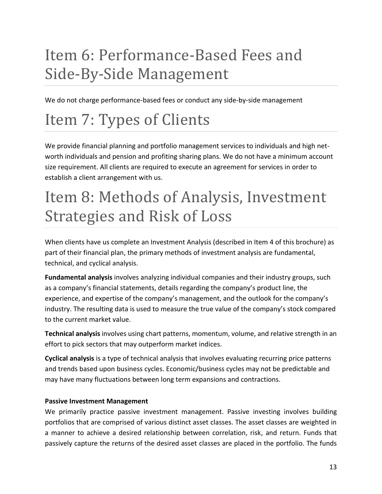# <span id="page-12-0"></span>Item 6: Performance-Based Fees and Side-By-Side Management

We do not charge performance-based fees or conduct any side-by-side management

# <span id="page-12-1"></span>Item 7: Types of Clients

We provide financial planning and portfolio management services to individuals and high networth individuals and pension and profiting sharing plans. We do not have a minimum account size requirement. All clients are required to execute an agreement for services in order to establish a client arrangement with us.

## <span id="page-12-2"></span>Item 8: Methods of Analysis, Investment Strategies and Risk of Loss

When clients have us complete an Investment Analysis (described in Item 4 of this brochure) as part of their financial plan, the primary methods of investment analysis are fundamental, technical, and cyclical analysis.

**Fundamental analysis** involves analyzing individual companies and their industry groups, such as a company's financial statements, details regarding the company's product line, the experience, and expertise of the company's management, and the outlook for the company's industry. The resulting data is used to measure the true value of the company's stock compared to the current market value.

**Technical analysis** involves using chart patterns, momentum, volume, and relative strength in an effort to pick sectors that may outperform market indices.

**Cyclical analysis** is a type of technical analysis that involves evaluating recurring price patterns and trends based upon business cycles. Economic/business cycles may not be predictable and may have many fluctuations between long term expansions and contractions.

#### <span id="page-12-3"></span>**Passive Investment Management**

We primarily practice passive investment management. Passive investing involves building portfolios that are comprised of various distinct asset classes. The asset classes are weighted in a manner to achieve a desired relationship between correlation, risk, and return. Funds that passively capture the returns of the desired asset classes are placed in the portfolio. The funds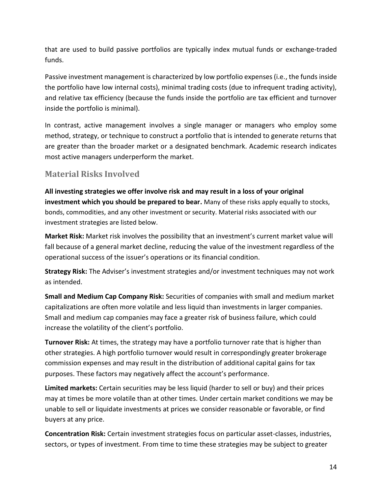that are used to build passive portfolios are typically index mutual funds or exchange-traded funds.

Passive investment management is characterized by low portfolio expenses (i.e., the funds inside the portfolio have low internal costs), minimal trading costs (due to infrequent trading activity), and relative tax efficiency (because the funds inside the portfolio are tax efficient and turnover inside the portfolio is minimal).

In contrast, active management involves a single manager or managers who employ some method, strategy, or technique to construct a portfolio that is intended to generate returns that are greater than the broader market or a designated benchmark. Academic research indicates most active managers underperform the market.

### **Material Risks Involved**

**All investing strategies we offer involve risk and may result in a loss of your original investment which you should be prepared to bear.** Many of these risks apply equally to stocks, bonds, commodities, and any other investment or security. Material risks associated with our investment strategies are listed below.

**Market Risk:** Market risk involves the possibility that an investment's current market value will fall because of a general market decline, reducing the value of the investment regardless of the operational success of the issuer's operations or its financial condition.

**Strategy Risk:** The Adviser's investment strategies and/or investment techniques may not work as intended.

**Small and Medium Cap Company Risk:** Securities of companies with small and medium market capitalizations are often more volatile and less liquid than investments in larger companies. Small and medium cap companies may face a greater risk of business failure, which could increase the volatility of the client's portfolio.

**Turnover Risk:** At times, the strategy may have a portfolio turnover rate that is higher than other strategies. A high portfolio turnover would result in correspondingly greater brokerage commission expenses and may result in the distribution of additional capital gains for tax purposes. These factors may negatively affect the account's performance.

**Limited markets:** Certain securities may be less liquid (harder to sell or buy) and their prices may at times be more volatile than at other times. Under certain market conditions we may be unable to sell or liquidate investments at prices we consider reasonable or favorable, or find buyers at any price.

**Concentration Risk:** Certain investment strategies focus on particular asset-classes, industries, sectors, or types of investment. From time to time these strategies may be subject to greater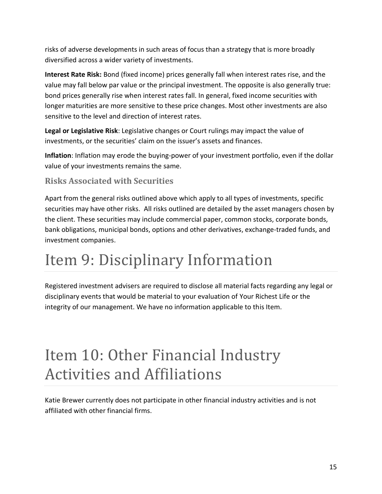risks of adverse developments in such areas of focus than a strategy that is more broadly diversified across a wider variety of investments.

**Interest Rate Risk:** Bond (fixed income) prices generally fall when interest rates rise, and the value may fall below par value or the principal investment. The opposite is also generally true: bond prices generally rise when interest rates fall. In general, fixed income securities with longer maturities are more sensitive to these price changes. Most other investments are also sensitive to the level and direction of interest rates.

**Legal or Legislative Risk**: Legislative changes or Court rulings may impact the value of investments, or the securities' claim on the issuer's assets and finances.

**Inflation**: Inflation may erode the buying-power of your investment portfolio, even if the dollar value of your investments remains the same.

### **Risks Associated with Securities**

Apart from the general risks outlined above which apply to all types of investments, specific securities may have other risks. All risks outlined are detailed by the asset managers chosen by the client. These securities may include commercial paper, common stocks, corporate bonds, bank obligations, municipal bonds, options and other derivatives, exchange-traded funds, and investment companies.

## <span id="page-14-0"></span>Item 9: Disciplinary Information

Registered investment advisers are required to disclose all material facts regarding any legal or disciplinary events that would be material to your evaluation of Your Richest Life or the integrity of our management. We have no information applicable to this Item.

### <span id="page-14-1"></span>Item 10: Other Financial Industry Activities and Affiliations

Katie Brewer currently does not participate in other financial industry activities and is not affiliated with other financial firms.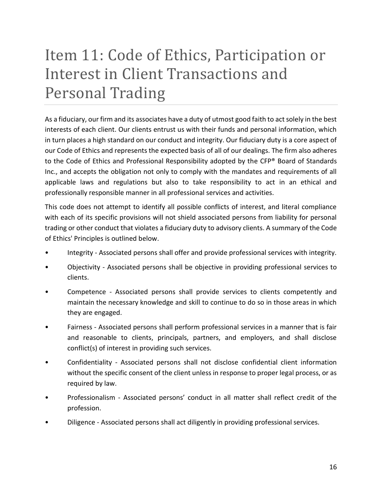# <span id="page-15-0"></span>Item 11: Code of Ethics, Participation or Interest in Client Transactions and Personal Trading

As a fiduciary, our firm and its associates have a duty of utmost good faith to act solely in the best interests of each client. Our clients entrust us with their funds and personal information, which in turn places a high standard on our conduct and integrity. Our fiduciary duty is a core aspect of our Code of Ethics and represents the expected basis of all of our dealings. The firm also adheres to the Code of Ethics and Professional Responsibility adopted by the CFP® Board of Standards Inc., and accepts the obligation not only to comply with the mandates and requirements of all applicable laws and regulations but also to take responsibility to act in an ethical and professionally responsible manner in all professional services and activities.

This code does not attempt to identify all possible conflicts of interest, and literal compliance with each of its specific provisions will not shield associated persons from liability for personal trading or other conduct that violates a fiduciary duty to advisory clients. A summary of the Code of Ethics' Principles is outlined below.

- Integrity Associated persons shall offer and provide professional services with integrity.
- Objectivity Associated persons shall be objective in providing professional services to clients.
- Competence Associated persons shall provide services to clients competently and maintain the necessary knowledge and skill to continue to do so in those areas in which they are engaged.
- Fairness Associated persons shall perform professional services in a manner that is fair and reasonable to clients, principals, partners, and employers, and shall disclose conflict(s) of interest in providing such services.
- Confidentiality Associated persons shall not disclose confidential client information without the specific consent of the client unless in response to proper legal process, or as required by law.
- Professionalism Associated persons' conduct in all matter shall reflect credit of the profession.
- Diligence Associated persons shall act diligently in providing professional services.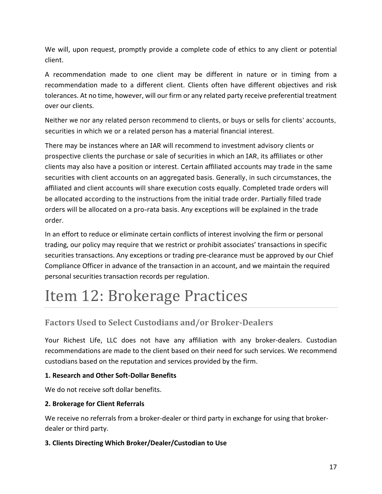We will, upon request, promptly provide a complete code of ethics to any client or potential client.

A recommendation made to one client may be different in nature or in timing from a recommendation made to a different client. Clients often have different objectives and risk tolerances. At no time, however, will our firm or any related party receive preferential treatment over our clients.

Neither we nor any related person recommend to clients, or buys or sells for clients' accounts, securities in which we or a related person has a material financial interest.

There may be instances where an IAR will recommend to investment advisory clients or prospective clients the purchase or sale of securities in which an IAR, its affiliates or other clients may also have a position or interest. Certain affiliated accounts may trade in the same securities with client accounts on an aggregated basis. Generally, in such circumstances, the affiliated and client accounts will share execution costs equally. Completed trade orders will be allocated according to the instructions from the initial trade order. Partially filled trade orders will be allocated on a pro-rata basis. Any exceptions will be explained in the trade order.

In an effort to reduce or eliminate certain conflicts of interest involving the firm or personal trading, our policy may require that we restrict or prohibit associates' transactions in specific securities transactions. Any exceptions or trading pre-clearance must be approved by our Chief Compliance Officer in advance of the transaction in an account, and we maintain the required personal securities transaction records per regulation.

# <span id="page-16-0"></span>Item 12: Brokerage Practices

### **Factors Used to Select Custodians and/or Broker-Dealers**

Your Richest Life, LLC does not have any affiliation with any broker-dealers. Custodian recommendations are made to the client based on their need for such services. We recommend custodians based on the reputation and services provided by the firm.

### **1. Research and Other Soft-Dollar Benefits**

We do not receive soft dollar benefits.

### **2. Brokerage for Client Referrals**

We receive no referrals from a broker-dealer or third party in exchange for using that brokerdealer or third party.

### **3. Clients Directing Which Broker/Dealer/Custodian to Use**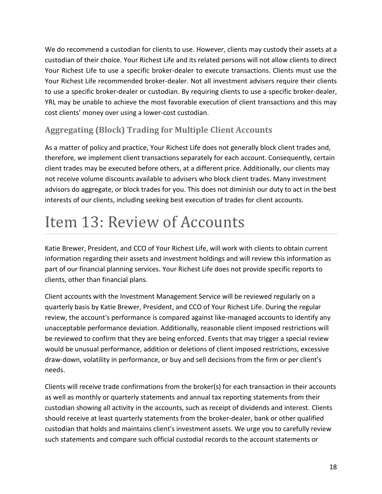We do recommend a custodian for clients to use. However, clients may custody their assets at a custodian of their choice. Your Richest Life and its related persons will not allow clients to direct Your Richest Life to use a specific broker-dealer to execute transactions. Clients must use the Your Richest Life recommended broker-dealer. Not all investment advisers require their clients to use a specific broker-dealer or custodian. By requiring clients to use a specific broker-dealer, YRL may be unable to achieve the most favorable execution of client transactions and this may cost clients' money over using a lower-cost custodian.

### **Aggregating (Block) Trading for Multiple Client Accounts**

As a matter of policy and practice, Your Richest Life does not generally block client trades and, therefore, we implement client transactions separately for each account. Consequently, certain client trades may be executed before others, at a different price. Additionally, our clients may not receive volume discounts available to advisers who block client trades. Many investment advisors do aggregate, or block trades for you. This does not diminish our duty to act in the best interests of our clients, including seeking best execution of trades for client accounts.

# <span id="page-17-0"></span>Item 13: Review of Accounts

Katie Brewer, President, and CCO of Your Richest Life, will work with clients to obtain current information regarding their assets and investment holdings and will review this information as part of our financial planning services. Your Richest Life does not provide specific reports to clients, other than financial plans.

Client accounts with the Investment Management Service will be reviewed regularly on a quarterly basis by Katie Brewer, President, and CCO of Your Richest Life. During the regular review, the account's performance is compared against like-managed accounts to identify any unacceptable performance deviation. Additionally, reasonable client imposed restrictions will be reviewed to confirm that they are being enforced. Events that may trigger a special review would be unusual performance, addition or deletions of client imposed restrictions, excessive draw-down, volatility in performance, or buy and sell decisions from the firm or per client's needs.

Clients will receive trade confirmations from the broker(s) for each transaction in their accounts as well as monthly or quarterly statements and annual tax reporting statements from their custodian showing all activity in the accounts, such as receipt of dividends and interest. Clients should receive at least quarterly statements from the broker-dealer, bank or other qualified custodian that holds and maintains client's investment assets. We urge you to carefully review such statements and compare such official custodial records to the account statements or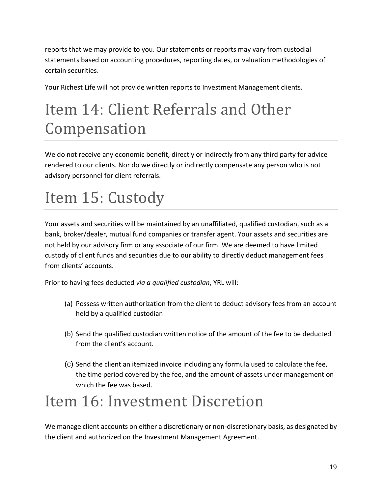reports that we may provide to you. Our statements or reports may vary from custodial statements based on accounting procedures, reporting dates, or valuation methodologies of certain securities.

Your Richest Life will not provide written reports to Investment Management clients.

# <span id="page-18-0"></span>Item 14: Client Referrals and Other Compensation

We do not receive any economic benefit, directly or indirectly from any third party for advice rendered to our clients. Nor do we directly or indirectly compensate any person who is not advisory personnel for client referrals.

# <span id="page-18-1"></span>Item 15: Custody

Your assets and securities will be maintained by an unaffiliated, qualified custodian, such as a bank, broker/dealer, mutual fund companies or transfer agent. Your assets and securities are not held by our advisory firm or any associate of our firm. We are deemed to have limited custody of client funds and securities due to our ability to directly deduct management fees from clients' accounts.

Prior to having fees deducted *via a qualified custodian*, YRL will:

- (a) Possess written authorization from the client to deduct advisory fees from an account held by a qualified custodian
- (b) Send the qualified custodian written notice of the amount of the fee to be deducted from the client's account.
- (c) Send the client an itemized invoice including any formula used to calculate the fee, the time period covered by the fee, and the amount of assets under management on which the fee was based.

## <span id="page-18-2"></span>Item 16: Investment Discretion

We manage client accounts on either a discretionary or non-discretionary basis, as designated by the client and authorized on the Investment Management Agreement.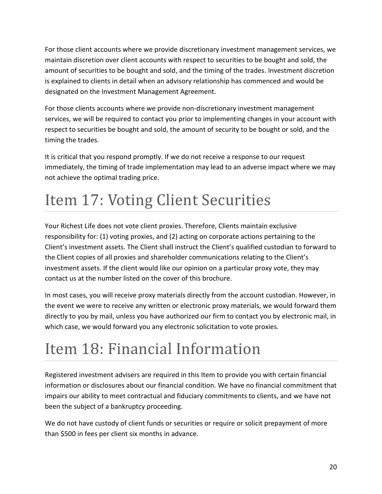For those client accounts where we provide discretionary investment management services, we maintain discretion over client accounts with respect to securities to be bought and sold, the amount of securities to be bought and sold, and the timing of the trades. Investment discretion is explained to clients in detail when an advisory relationship has commenced and would be designated on the Investment Management Agreement.

For those clients accounts where we provide non-discretionary investment management services, we will be required to contact you prior to implementing changes in your account with respect to securities be bought and sold, the amount of security to be bought or sold, and the timing the trades.

It is critical that you respond promptly. If we do not receive a response to our request immediately, the timing of trade implementation may lead to an adverse impact where we may not achieve the optimal trading price.

# <span id="page-19-0"></span>Item 17: Voting Client Securities

Your Richest Life does not vote client proxies. Therefore, Clients maintain exclusive responsibility for: (1) voting proxies, and (2) acting on corporate actions pertaining to the Client's investment assets. The Client shall instruct the Client's qualified custodian to forward to the Client copies of all proxies and shareholder communications relating to the Client's investment assets. If the client would like our opinion on a particular proxy vote, they may contact us at the number listed on the cover of this brochure.

In most cases, you will receive proxy materials directly from the account custodian. However, in the event we were to receive any written or electronic proxy materials, we would forward them directly to you by mail, unless you have authorized our firm to contact you by electronic mail, in which case, we would forward you any electronic solicitation to vote proxies.

# <span id="page-19-1"></span>Item 18: Financial Information

Registered investment advisers are required in this Item to provide you with certain financial information or disclosures about our financial condition. We have no financial commitment that impairs our ability to meet contractual and fiduciary commitments to clients, and we have not been the subject of a bankruptcy proceeding.

We do not have custody of client funds or securities or require or solicit prepayment of more than \$500 in fees per client six months in advance.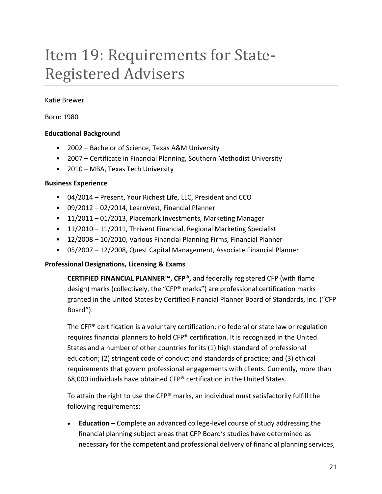## <span id="page-20-0"></span>Item 19: Requirements for State-Registered Advisers

Katie Brewer

Born: 1980

#### **Educational Background**

- 2002 Bachelor of Science, Texas A&M University
- 2007 Certificate in Financial Planning, Southern Methodist University
- 2010 MBA, Texas Tech University

#### **Business Experience**

- 04/2014 Present, Your Richest Life, LLC, President and CCO
- 09/2012 02/2014, LearnVest, Financial Planner
- 11/2011 01/2013, Placemark Investments, Marketing Manager
- 11/2010 11/2011, Thrivent Financial, Regional Marketing Specialist
- 12/2008 10/2010, Various Financial Planning Firms, Financial Planner
- 05/2007 12/2008, Quest Capital Management, Associate Financial Planner

#### **Professional Designations, Licensing & Exams**

**CERTIFIED FINANCIAL PLANNER™, CFP®,** and federally registered CFP (with flame design) marks (collectively, the "CFP® marks") are professional certification marks granted in the United States by Certified Financial Planner Board of Standards, Inc. ("CFP Board").

The CFP® certification is a voluntary certification; no federal or state law or regulation requires financial planners to hold CFP® certification. It is recognized in the United States and a number of other countries for its (1) high standard of professional education; (2) stringent code of conduct and standards of practice; and (3) ethical requirements that govern professional engagements with clients. Currently, more than 68,000 individuals have obtained CFP® certification in the United States.

To attain the right to use the CFP® marks, an individual must satisfactorily fulfill the following requirements:

• **Education –** Complete an advanced college-level course of study addressing the financial planning subject areas that CFP Board's studies have determined as necessary for the competent and professional delivery of financial planning services,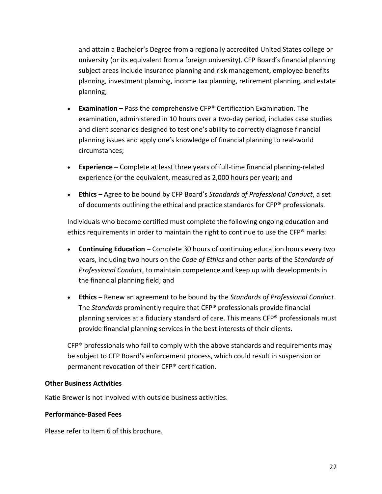and attain a Bachelor's Degree from a regionally accredited United States college or university (or its equivalent from a foreign university). CFP Board's financial planning subject areas include insurance planning and risk management, employee benefits planning, investment planning, income tax planning, retirement planning, and estate planning;

- **Examination –** Pass the comprehensive CFP® Certification Examination. The examination, administered in 10 hours over a two-day period, includes case studies and client scenarios designed to test one's ability to correctly diagnose financial planning issues and apply one's knowledge of financial planning to real-world circumstances;
- **Experience –** Complete at least three years of full-time financial planning-related experience (or the equivalent, measured as 2,000 hours per year); and
- **Ethics –** Agree to be bound by CFP Board's *Standards of Professional Conduct*, a set of documents outlining the ethical and practice standards for  $\text{CFP}^{\otimes}$  professionals.

Individuals who become certified must complete the following ongoing education and ethics requirements in order to maintain the right to continue to use the CFP<sup>®</sup> marks:

- **Continuing Education –** Complete 30 hours of continuing education hours every two years, including two hours on the *Code of Ethics* and other parts of the S*tandards of Professional Conduct*, to maintain competence and keep up with developments in the financial planning field; and
- **Ethics –** Renew an agreement to be bound by the *Standards of Professional Conduct*. The *Standards* prominently require that CFP® professionals provide financial planning services at a fiduciary standard of care. This means CFP® professionals must provide financial planning services in the best interests of their clients.

 $CFP<sup>®</sup>$  professionals who fail to comply with the above standards and requirements may be subject to CFP Board's enforcement process, which could result in suspension or permanent revocation of their CFP® certification.

#### **Other Business Activities**

Katie Brewer is not involved with outside business activities.

#### **Performance-Based Fees**

Please refer to Item 6 of this brochure.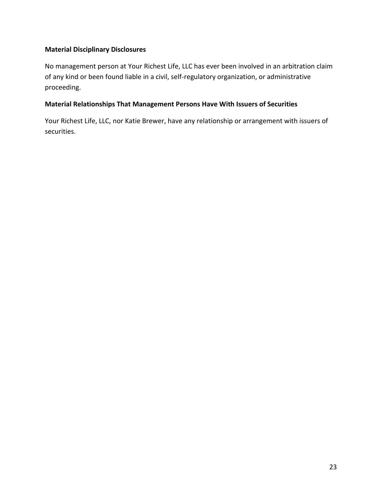### **Material Disciplinary Disclosures**

No management person at Your Richest Life, LLC has ever been involved in an arbitration claim of any kind or been found liable in a civil, self-regulatory organization, or administrative proceeding.

### **Material Relationships That Management Persons Have With Issuers of Securities**

Your Richest Life, LLC, nor Katie Brewer, have any relationship or arrangement with issuers of securities.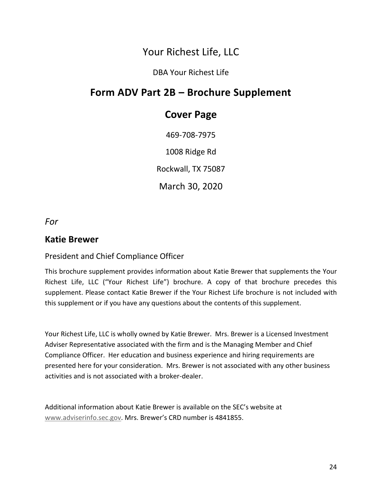### Your Richest Life, LLC

### DBA Your Richest Life

### **Form ADV Part 2B – Brochure Supplement**

### **Cover Page**

469-708-7975 1008 Ridge Rd Rockwall, TX 75087 March 30, 2020

*For*

### **Katie Brewer**

### President and Chief Compliance Officer

This brochure supplement provides information about Katie Brewer that supplements the Your Richest Life, LLC ("Your Richest Life") brochure. A copy of that brochure precedes this supplement. Please contact Katie Brewer if the Your Richest Life brochure is not included with this supplement or if you have any questions about the contents of this supplement.

Your Richest Life, LLC is wholly owned by Katie Brewer. Mrs. Brewer is a Licensed Investment Adviser Representative associated with the firm and is the Managing Member and Chief Compliance Officer. Her education and business experience and hiring requirements are presented here for your consideration. Mrs. Brewer is not associated with any other business activities and is not associated with a broker-dealer.

Additional information about Katie Brewer is available on the SEC's website at [www.adviserinfo.sec.gov.](http://www.adviserinfo.sec.gov/) Mrs. Brewer's CRD number is 4841855.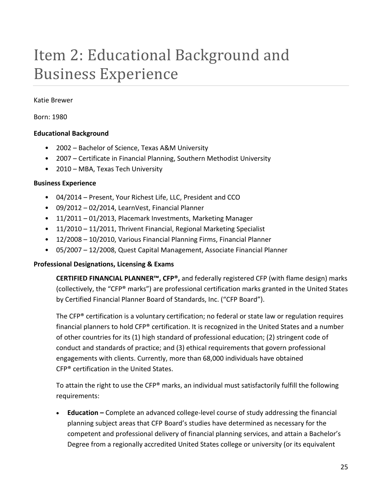# <span id="page-24-0"></span>Item 2: Educational Background and Business Experience

#### Katie Brewer

Born: 1980

#### **Educational Background**

- 2002 Bachelor of Science, Texas A&M University
- 2007 Certificate in Financial Planning, Southern Methodist University
- 2010 MBA, Texas Tech University

#### **Business Experience**

- 04/2014 Present, Your Richest Life, LLC, President and CCO
- 09/2012 02/2014, LearnVest, Financial Planner
- 11/2011 01/2013, Placemark Investments, Marketing Manager
- 11/2010 11/2011, Thrivent Financial, Regional Marketing Specialist
- 12/2008 10/2010, Various Financial Planning Firms, Financial Planner
- 05/2007 12/2008, Quest Capital Management, Associate Financial Planner

#### **Professional Designations, Licensing & Exams**

**CERTIFIED FINANCIAL PLANNER™, CFP®,** and federally registered CFP (with flame design) marks (collectively, the "CFP® marks") are professional certification marks granted in the United States by Certified Financial Planner Board of Standards, Inc. ("CFP Board").

The CFP® certification is a voluntary certification; no federal or state law or regulation requires financial planners to hold CFP® certification. It is recognized in the United States and a number of other countries for its (1) high standard of professional education; (2) stringent code of conduct and standards of practice; and (3) ethical requirements that govern professional engagements with clients. Currently, more than 68,000 individuals have obtained CFP® certification in the United States.

To attain the right to use the CFP® marks, an individual must satisfactorily fulfill the following requirements:

• **Education –** Complete an advanced college-level course of study addressing the financial planning subject areas that CFP Board's studies have determined as necessary for the competent and professional delivery of financial planning services, and attain a Bachelor's Degree from a regionally accredited United States college or university (or its equivalent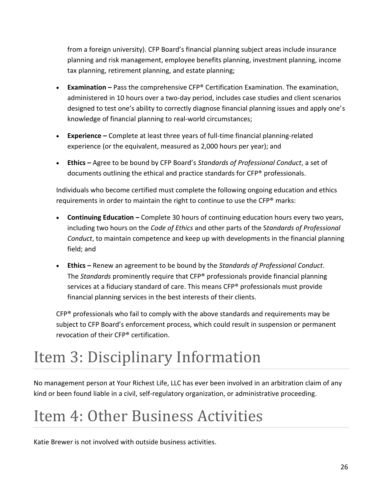from a foreign university). CFP Board's financial planning subject areas include insurance planning and risk management, employee benefits planning, investment planning, income tax planning, retirement planning, and estate planning;

- **Examination –** Pass the comprehensive CFP® Certification Examination. The examination, administered in 10 hours over a two-day period, includes case studies and client scenarios designed to test one's ability to correctly diagnose financial planning issues and apply one's knowledge of financial planning to real-world circumstances;
- **Experience –** Complete at least three years of full-time financial planning-related experience (or the equivalent, measured as 2,000 hours per year); and
- **Ethics –** Agree to be bound by CFP Board's *Standards of Professional Conduct*, a set of documents outlining the ethical and practice standards for CFP® professionals.

Individuals who become certified must complete the following ongoing education and ethics requirements in order to maintain the right to continue to use the CFP® marks:

- **Continuing Education –** Complete 30 hours of continuing education hours every two years, including two hours on the *Code of Ethics* and other parts of the S*tandards of Professional Conduct*, to maintain competence and keep up with developments in the financial planning field; and
- **Ethics –** Renew an agreement to be bound by the *Standards of Professional Conduct*. The *Standards* prominently require that CFP® professionals provide financial planning services at a fiduciary standard of care. This means CFP® professionals must provide financial planning services in the best interests of their clients.

CFP® professionals who fail to comply with the above standards and requirements may be subject to CFP Board's enforcement process, which could result in suspension or permanent revocation of their CFP® certification.

# <span id="page-25-0"></span>Item 3: Disciplinary Information

No management person at Your Richest Life, LLC has ever been involved in an arbitration claim of any kind or been found liable in a civil, self-regulatory organization, or administrative proceeding.

## <span id="page-25-1"></span>Item 4: Other Business Activities

Katie Brewer is not involved with outside business activities.